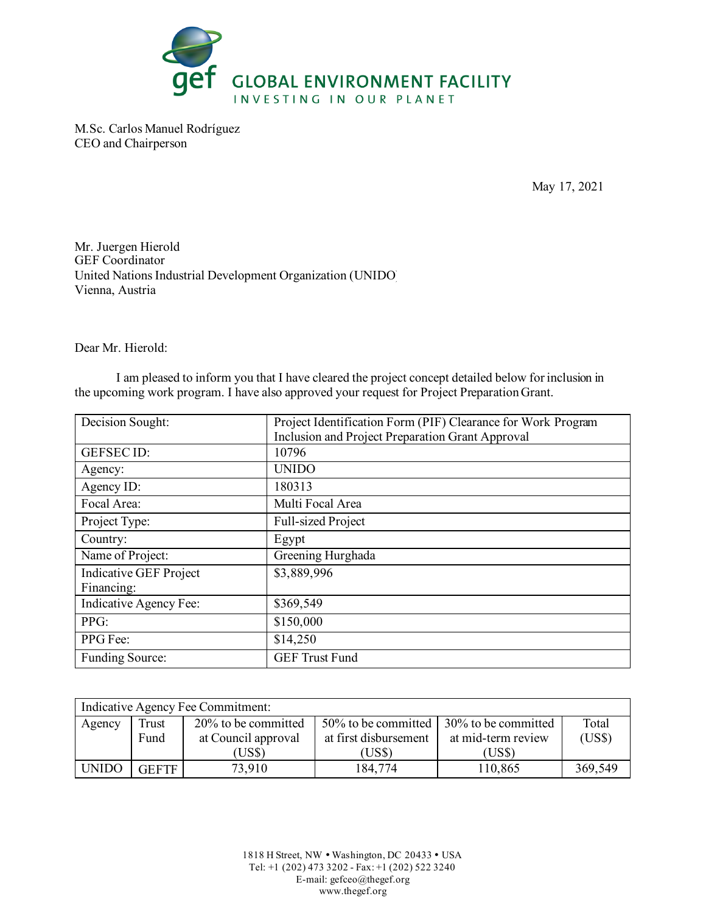

M.Sc. Carlos Manuel Rodríguez CEO and Chairperson

May 17, 2021

Mr. Juergen Hierold GEF Coordinator United Nations Industrial Development Organization (UNIDO) Vienna, Austria

Dear Mr. Hierold:

I am pleased to inform you that I have cleared the project concept detailed below for inclusion in the upcoming work program. I have also approved your request for Project Preparation Grant.

| Decision Sought:              | Project Identification Form (PIF) Clearance for Work Program |  |  |
|-------------------------------|--------------------------------------------------------------|--|--|
|                               | Inclusion and Project Preparation Grant Approval             |  |  |
| <b>GEFSECID:</b>              | 10796                                                        |  |  |
| Agency:                       | <b>UNIDO</b>                                                 |  |  |
| Agency ID:                    | 180313                                                       |  |  |
| Focal Area:                   | Multi Focal Area                                             |  |  |
| Project Type:                 | Full-sized Project                                           |  |  |
| Country:                      | Egypt                                                        |  |  |
| Name of Project:              | Greening Hurghada                                            |  |  |
| <b>Indicative GEF Project</b> | \$3,889,996                                                  |  |  |
| Financing:                    |                                                              |  |  |
| Indicative Agency Fee:        | \$369,549                                                    |  |  |
| PPG:                          | \$150,000                                                    |  |  |
| PPG Fee:                      | \$14,250                                                     |  |  |
| <b>Funding Source:</b>        | <b>GEF Trust Fund</b>                                        |  |  |

| Indicative Agency Fee Commitment: |              |                     |                       |                                                 |         |  |
|-----------------------------------|--------------|---------------------|-----------------------|-------------------------------------------------|---------|--|
| Agency                            | Trust        | 20% to be committed |                       | 50% to be committed $\vert$ 30% to be committed | Total   |  |
|                                   | Fund         | at Council approval | at first disbursement | at mid-term review                              | (US\$)  |  |
|                                   |              | (US\$)              | (US\$                 | (US\$)                                          |         |  |
| <b>UNIDO</b>                      | <b>GEFTF</b> | 73,910              | 184,774               | 110,865                                         | 369,549 |  |